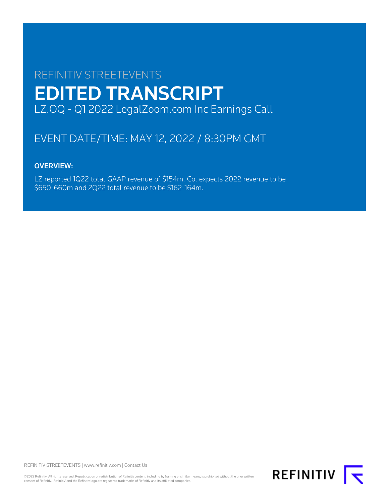# REFINITIV STREETEVENTS EDITED TRANSCRIPT LZ.OQ - Q1 2022 LegalZoom.com Inc Earnings Call

## EVENT DATE/TIME: MAY 12, 2022 / 8:30PM GMT

### OVERVIEW:

LZ reported 1Q22 total GAAP revenue of \$154m. Co. expects 2022 revenue to be \$650-660m and 2Q22 total revenue to be \$162-164m.

REFINITIV STREETEVENTS | [www.refinitiv.com](https://www.refinitiv.com/) | [Contact Us](https://www.refinitiv.com/en/contact-us)

©2022 Refinitiv. All rights reserved. Republication or redistribution of Refinitiv content, including by framing or similar means, is prohibited without the prior written consent of Refinitiv. 'Refinitiv' and the Refinitiv logo are registered trademarks of Refinitiv and its affiliated companies.

REFINITIV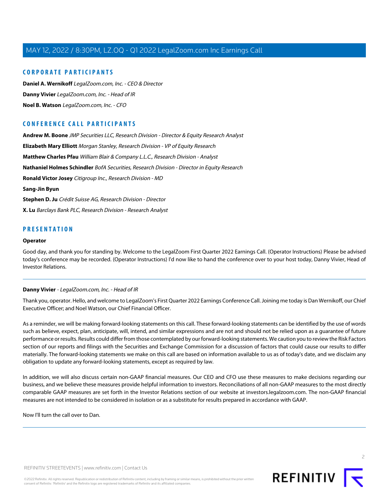### **CORPORATE PARTICIPANTS**

**[Daniel A. Wernikoff](#page-2-0)** LegalZoom.com, Inc. - CEO & Director **[Danny Vivier](#page-1-0)** LegalZoom.com, Inc. - Head of IR **[Noel B. Watson](#page-3-0)** LegalZoom.com, Inc. - CFO

### **CONFERENCE CALL PARTICIPANTS**

**[Andrew M. Boone](#page-7-0)** JMP Securities LLC, Research Division - Director & Equity Research Analyst **[Elizabeth Mary Elliott](#page-6-0)** Morgan Stanley, Research Division - VP of Equity Research **[Matthew Charles Pfau](#page-8-0)** William Blair & Company L.L.C., Research Division - Analyst **[Nathaniel Holmes Schindler](#page-10-0)** BofA Securities, Research Division - Director in Equity Research **[Ronald Victor Josey](#page-5-0)** Citigroup Inc., Research Division - MD **[Sang-Jin Byun](#page-11-0) [Stephen D. Ju](#page-11-1)** Crédit Suisse AG, Research Division - Director **[X. Lu](#page-10-1)** Barclays Bank PLC, Research Division - Research Analyst

### **PRESENTATION**

#### **Operator**

<span id="page-1-0"></span>Good day, and thank you for standing by. Welcome to the LegalZoom First Quarter 2022 Earnings Call. (Operator Instructions) Please be advised today's conference may be recorded. (Operator Instructions) I'd now like to hand the conference over to your host today, Danny Vivier, Head of Investor Relations.

### **Danny Vivier** - LegalZoom.com, Inc. - Head of IR

Thank you, operator. Hello, and welcome to LegalZoom's First Quarter 2022 Earnings Conference Call. Joining me today is Dan Wernikoff, our Chief Executive Officer; and Noel Watson, our Chief Financial Officer.

As a reminder, we will be making forward-looking statements on this call. These forward-looking statements can be identified by the use of words such as believe, expect, plan, anticipate, will, intend, and similar expressions and are not and should not be relied upon as a guarantee of future performance or results. Results could differ from those contemplated by our forward-looking statements. We caution you to review the Risk Factors section of our reports and filings with the Securities and Exchange Commission for a discussion of factors that could cause our results to differ materially. The forward-looking statements we make on this call are based on information available to us as of today's date, and we disclaim any obligation to update any forward-looking statements, except as required by law.

In addition, we will also discuss certain non-GAAP financial measures. Our CEO and CFO use these measures to make decisions regarding our business, and we believe these measures provide helpful information to investors. Reconciliations of all non-GAAP measures to the most directly comparable GAAP measures are set forth in the Investor Relations section of our website at investors.legalzoom.com. The non-GAAP financial measures are not intended to be considered in isolation or as a substitute for results prepared in accordance with GAAP.

Now I'll turn the call over to Dan.

REFINITIV STREETEVENTS | [www.refinitiv.com](https://www.refinitiv.com/) | [Contact Us](https://www.refinitiv.com/en/contact-us)

©2022 Refinitiv. All rights reserved. Republication or redistribution of Refinitiv content, including by framing or similar means, is prohibited without the prior written consent of Refinitiv. 'Refinitiv' and the Refinitiv logo are registered trademarks of Refinitiv and its affiliated companies.



 $\supset$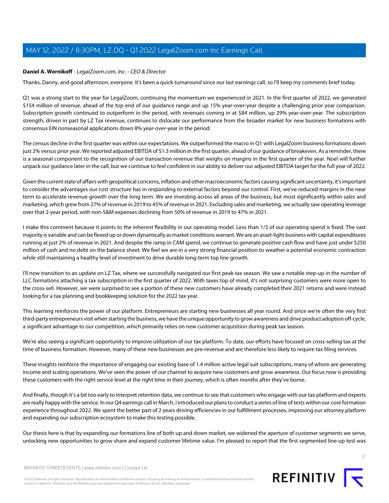### <span id="page-2-0"></span>**Daniel A. Wernikoff** - LegalZoom.com, Inc. - CEO & Director

Thanks, Danny, and good afternoon, everyone. It's been a quick turnaround since our last earnings call, so I'll keep my comments brief today.

Q1 was a strong start to the year for LegalZoom, continuing the momentum we experienced in 2021. In the first quarter of 2022, we generated \$154 million of revenue, ahead of the top end of our guidance range and up 15% year-over-year despite a challenging prior year comparison. Subscription growth continued to outperform in the period, with revenues coming in at \$84 million, up 29% year-over-year. The subscription strength, driven in part by LZ Tax revenue, continues to dislocate our performance from the broader market for new business formations with consensus EIN nonseasonal applications down 8% year-over-year in the period.

The census decline in the first quarter was within our expectations. We outperformed the macro in Q1 with LegalZoom business formations down just 2% versus prior year. We reported adjusted EBITDA of \$1.3 million in the first quarter, ahead of our guidance of breakeven. As a reminder, there is a seasonal component to the recognition of our transaction revenue that weighs on margins in the first quarter of the year. Noel will further unpack our guidance later in the call, but we continue to feel confident in our ability to deliver our adjusted EBITDA target for the full year of 2022.

Given the current state of affairs with geopolitical concerns, inflation and other macroeconomic factors causing significant uncertainty, it's important to consider the advantages our cost structure has in responding to external factors beyond our control. First, we've reduced margins in the near term to accelerate revenue growth over the long term. We are investing across all areas of the business, but most significantly within sales and marketing, which grew from 27% of revenue in 2019 to 45% of revenue in 2021. Excluding sales and marketing, we actually saw operating leverage over that 2-year period, with non-S&M expenses declining from 50% of revenue in 2019 to 47% in 2021.

I make this comment because it points to the inherent flexibility in our operating model. Less than 1/3 of our operating spend is fixed. The vast majority is variable and can be flexed up or down dynamically as market conditions warrant. We are an asset-light business with capital expenditures running at just 2% of revenue in 2021. And despite the ramp in CAM spend, we continue to generate positive cash flow and have just under \$250 million of cash and no debt on the balance sheet. We feel we are in a very strong financial position to weather a potential economic contraction while still maintaining a healthy level of investment to drive durable long-term top line growth.

I'll now transition to an update on LZ Tax, where we successfully navigated our first peak tax season. We saw a notable step-up in the number of LLC formations attaching a tax subscription in the first quarter of 2022. With taxes top of mind, it's not surprising customers were more open to the cross-sell. However, we were surprised to see a portion of these new customers have already completed their 2021 returns and were instead looking for a tax planning and bookkeeping solution for the 2022 tax year.

This learning reinforces the power of our platform. Entrepreneurs are starting new businesses all year round. And since we're often the very first third-party entrepreneurs visit when starting the business, we have the unique opportunity to grow awareness and drive product adoption off-cycle, a significant advantage to our competition, which primarily relies on new customer acquisition during peak tax season.

We're also seeing a significant opportunity to improve utilization of our tax platform. To date, our efforts have focused on cross-selling tax at the time of business formation. However, many of these new businesses are pre-revenue and are therefore less likely to require tax filing services.

These insights reinforce the importance of engaging our existing base of 1.4 million active legal suit subscriptions, many of whom are generating income and scaling operations. We've seen the power of our channel to acquire new customers and grow awareness. Our focus now is providing these customers with the right service level at the right time in their journey, which is often months after they've borne.

And finally, though it's a bit too early to interpret retention data, we continue to see that customers who engage with our tax platform and experts are really happy with the service. In our Q4 earnings call in March, I introduced our plans to conduct a series of line of tests within our core formation experience throughout 2022. We spent the better part of 2 years driving efficiencies in our fulfillment processes, improving our attorney platform and expanding our subscription ecosystem to make this testing possible.

Our thesis here is that by expanding our formations line of both up and down market, we widened the aperture of customer segments we serve, unlocking new opportunities to grow share and expand customer lifetime value. I'm pleased to report that the first segmented line-up test was



REFINITIV STREETEVENTS | [www.refinitiv.com](https://www.refinitiv.com/) | [Contact Us](https://www.refinitiv.com/en/contact-us)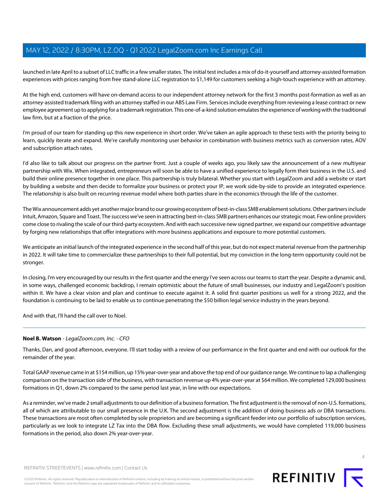launched in late April to a subset of LLC traffic in a few smaller states. The initial test includes a mix of do-it-yourself and attorney-assisted formation experiences with prices ranging from free stand-alone LLC registration to \$1,149 for customers seeking a high-touch experience with an attorney.

At the high end, customers will have on-demand access to our independent attorney network for the first 3 months post-formation as well as an attorney-assisted trademark filing with an attorney staffed in our ABS Law Firm. Services include everything from reviewing a lease contract or new employee agreement up to applying for a trademark registration. This one-of-a-kind solution emulates the experience of working with the traditional law firm, but at a fraction of the price.

I'm proud of our team for standing up this new experience in short order. We've taken an agile approach to these tests with the priority being to learn, quickly iterate and expand. We're carefully monitoring user behavior in combination with business metrics such as conversion rates, AOV and subscription attach rates.

I'd also like to talk about our progress on the partner front. Just a couple of weeks ago, you likely saw the announcement of a new multiyear partnership with Wix. When integrated, entrepreneurs will soon be able to have a unified experience to legally form their business in the U.S. and build their online presence together in one place. This partnership is truly bilateral. Whether you start with LegalZoom and add a website or start by building a website and then decide to formalize your business or protect your IP, we work side-by-side to provide an integrated experience. The relationship is also built on recurring revenue model where both parties share in the economics through the life of the customer.

The Wix announcement adds yet another major brand to our growing ecosystem of best-in-class SMB enablement solutions. Other partners include Intuit, Amazon, Square and Toast. The success we've seen in attracting best-in-class SMB partners enhances our strategic moat. Few online providers come close to rivaling the scale of our third-party ecosystem. And with each successive new signed partner, we expand our competitive advantage by forging new relationships that offer integrations with more business applications and exposure to more potential customers.

We anticipate an initial launch of the integrated experience in the second half of this year, but do not expect material revenue from the partnership in 2022. It will take time to commercialize these partnerships to their full potential, but my conviction in the long-term opportunity could not be stronger.

In closing, I'm very encouraged by our results in the first quarter and the energy I've seen across our teams to start the year. Despite a dynamic and, in some ways, challenged economic backdrop, I remain optimistic about the future of small businesses, our industry and LegalZoom's position within it. We have a clear vision and plan and continue to execute against it. A solid first quarter positions us well for a strong 2022, and the foundation is continuing to be laid to enable us to continue penetrating the \$50 billion legal service industry in the years beyond.

<span id="page-3-0"></span>And with that, I'll hand the call over to Noel.

### **Noel B. Watson** - LegalZoom.com, Inc. - CFO

Thanks, Dan, and good afternoon, everyone. I'll start today with a review of our performance in the first quarter and end with our outlook for the remainder of the year.

Total GAAP revenue came in at \$154 million, up 15% year-over-year and above the top end of our guidance range. We continue to lap a challenging comparison on the transaction side of the business, with transaction revenue up 4% year-over-year at \$64 million. We completed 129,000 business formations in Q1, down 2% compared to the same period last year, in line with our expectations.

As a reminder, we've made 2 small adjustments to our definition of a business formation. The first adjustment is the removal of non-U.S. formations, all of which are attributable to our small presence in the U.K. The second adjustment is the addition of doing business ads or DBA transactions. These transactions are most often completed by sole proprietors and are becoming a significant feeder into our portfolio of subscription services, particularly as we look to integrate LZ Tax into the DBA flow. Excluding these small adjustments, we would have completed 119,000 business formations in the period, also down 2% year-over-year.



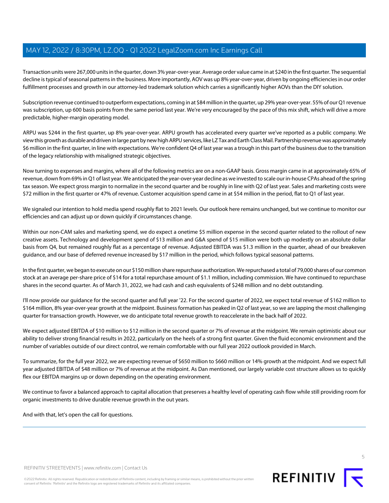Transaction units were 267,000 units in the quarter, down 3% year-over-year. Average order value came in at \$240 in the first quarter. The sequential decline is typical of seasonal patterns in the business. More importantly, AOV was up 8% year-over-year, driven by ongoing efficiencies in our order fulfillment processes and growth in our attorney-led trademark solution which carries a significantly higher AOVs than the DIY solution.

Subscription revenue continued to outperform expectations, coming in at \$84 million in the quarter, up 29% year-over-year. 55% of our Q1 revenue was subscription, up 600 basis points from the same period last year. We're very encouraged by the pace of this mix shift, which will drive a more predictable, higher-margin operating model.

ARPU was \$244 in the first quarter, up 8% year-over-year. ARPU growth has accelerated every quarter we've reported as a public company. We view this growth as durable and driven in large part by new high ARPU services, like LZ Tax and Earth Class Mail. Partnership revenue was approximately \$6 million in the first quarter, in line with expectations. We're confident Q4 of last year was a trough in this part of the business due to the transition of the legacy relationship with misaligned strategic objectives.

Now turning to expenses and margins, where all of the following metrics are on a non-GAAP basis. Gross margin came in at approximately 65% of revenue, down from 69% in Q1 of last year. We anticipated the year-over-year decline as we invested to scale our in-house CPAs ahead of the spring tax season. We expect gross margin to normalize in the second quarter and be roughly in line with Q2 of last year. Sales and marketing costs were \$72 million in the first quarter or 47% of revenue. Customer acquisition spend came in at \$54 million in the period, flat to Q1 of last year.

We signaled our intention to hold media spend roughly flat to 2021 levels. Our outlook here remains unchanged, but we continue to monitor our efficiencies and can adjust up or down quickly if circumstances change.

Within our non-CAM sales and marketing spend, we do expect a onetime \$5 million expense in the second quarter related to the rollout of new creative assets. Technology and development spend of \$13 million and G&A spend of \$15 million were both up modestly on an absolute dollar basis from Q4, but remained roughly flat as a percentage of revenue. Adjusted EBITDA was \$1.3 million in the quarter, ahead of our breakeven guidance, and our base of deferred revenue increased by \$17 million in the period, which follows typical seasonal patterns.

In the first quarter, we began to execute on our \$150 million share repurchase authorization. We repurchased a total of 79,000 shares of our common stock at an average per-share price of \$14 for a total repurchase amount of \$1.1 million, including commission. We have continued to repurchase shares in the second quarter. As of March 31, 2022, we had cash and cash equivalents of \$248 million and no debt outstanding.

I'll now provide our guidance for the second quarter and full year '22. For the second quarter of 2022, we expect total revenue of \$162 million to \$164 million, 8% year-over-year growth at the midpoint. Business formation has peaked in Q2 of last year, so we are lapping the most challenging quarter for transaction growth. However, we do anticipate total revenue growth to reaccelerate in the back half of 2022.

We expect adjusted EBITDA of \$10 million to \$12 million in the second quarter or 7% of revenue at the midpoint. We remain optimistic about our ability to deliver strong financial results in 2022, particularly on the heels of a strong first quarter. Given the fluid economic environment and the number of variables outside of our direct control, we remain comfortable with our full year 2022 outlook provided in March.

To summarize, for the full year 2022, we are expecting revenue of \$650 million to \$660 million or 14% growth at the midpoint. And we expect full year adjusted EBITDA of \$48 million or 7% of revenue at the midpoint. As Dan mentioned, our largely variable cost structure allows us to quickly flex our EBITDA margins up or down depending on the operating environment.

We continue to favor a balanced approach to capital allocation that preserves a healthy level of operating cash flow while still providing room for organic investments to drive durable revenue growth in the out years.

And with that, let's open the call for questions.

5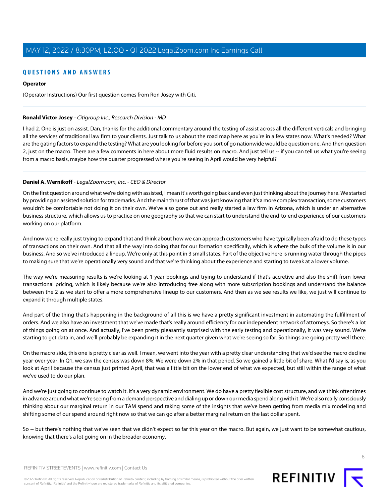### **QUESTIONS AND ANSWERS**

### **Operator**

(Operator Instructions) Our first question comes from Ron Josey with Citi.

### <span id="page-5-0"></span>**Ronald Victor Josey** - Citigroup Inc., Research Division - MD

I had 2. One is just on assist. Dan, thanks for the additional commentary around the testing of assist across all the different verticals and bringing all the services of traditional law firm to your clients. Just talk to us about the road map here as you're in a few states now. What's needed? What are the gating factors to expand the testing? What are you looking for before you sort of go nationwide would be question one. And then question 2, just on the macro. There are a few comments in here about more fluid results on macro. And just tell us -- if you can tell us what you're seeing from a macro basis, maybe how the quarter progressed where you're seeing in April would be very helpful?

### **Daniel A. Wernikoff** - LegalZoom.com, Inc. - CEO & Director

On the first question around what we're doing with assisted, I mean it's worth going back and even just thinking about the journey here. We started by providing an assisted solution for trademarks. And the main thrust of that was just knowing that it's a more complex transaction, some customers wouldn't be comfortable not doing it on their own. We've also gone out and really started a law firm in Arizona, which is under an alternative business structure, which allows us to practice on one geography so that we can start to understand the end-to-end experience of our customers working on our platform.

And now we're really just trying to expand that and think about how we can approach customers who have typically been afraid to do these types of transactions on their own. And that all the way into doing that for our formation specifically, which is where the bulk of the volume is in our business. And so we've introduced a lineup. We're only at this point in 3 small states. Part of the objective here is running water through the pipes to making sure that we're operationally very sound and that we're thinking about the experience and starting to tweak at a lower volume.

The way we're measuring results is we're looking at 1 year bookings and trying to understand if that's accretive and also the shift from lower transactional pricing, which is likely because we're also introducing free along with more subscription bookings and understand the balance between the 2 as we start to offer a more comprehensive lineup to our customers. And then as we see results we like, we just will continue to expand it through multiple states.

And part of the thing that's happening in the background of all this is we have a pretty significant investment in automating the fulfillment of orders. And we also have an investment that we've made that's really around efficiency for our independent network of attorneys. So there's a lot of things going on at once. And actually, I've been pretty pleasantly surprised with the early testing and operationally, it was very sound. We're starting to get data in, and we'll probably be expanding it in the next quarter given what we're seeing so far. So things are going pretty well there.

On the macro side, this one is pretty clear as well. I mean, we went into the year with a pretty clear understanding that we'd see the macro decline year-over-year. In Q1, we saw the census was down 8%. We were down 2% in that period. So we gained a little bit of share. What I'd say is, as you look at April because the census just printed April, that was a little bit on the lower end of what we expected, but still within the range of what we've used to do our plan.

And we're just going to continue to watch it. It's a very dynamic environment. We do have a pretty flexible cost structure, and we think oftentimes in advance around what we're seeing from a demand perspective and dialing up or down our media spend along with it. We're also really consciously thinking about our marginal return in our TAM spend and taking some of the insights that we've been getting from media mix modeling and shifting some of our spend around right now so that we can go after a better marginal return on the last dollar spent.

So -- but there's nothing that we've seen that we didn't expect so far this year on the macro. But again, we just want to be somewhat cautious, knowing that there's a lot going on in the broader economy.

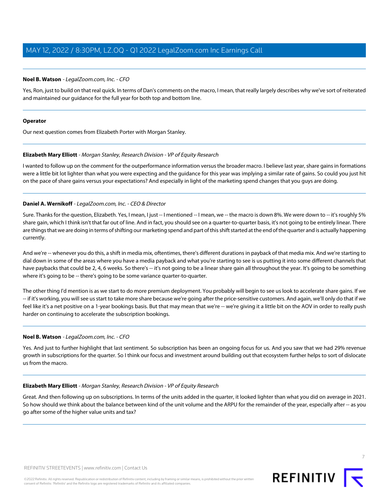### **Noel B. Watson** - LegalZoom.com, Inc. - CFO

Yes, Ron, just to build on that real quick. In terms of Dan's comments on the macro, I mean, that really largely describes why we've sort of reiterated and maintained our guidance for the full year for both top and bottom line.

### **Operator**

<span id="page-6-0"></span>Our next question comes from Elizabeth Porter with Morgan Stanley.

### **Elizabeth Mary Elliott** - Morgan Stanley, Research Division - VP of Equity Research

I wanted to follow up on the comment for the outperformance information versus the broader macro. I believe last year, share gains in formations were a little bit lot lighter than what you were expecting and the guidance for this year was implying a similar rate of gains. So could you just hit on the pace of share gains versus your expectations? And especially in light of the marketing spend changes that you guys are doing.

### **Daniel A. Wernikoff** - LegalZoom.com, Inc. - CEO & Director

Sure. Thanks for the question, Elizabeth. Yes, I mean, I just -- I mentioned -- I mean, we -- the macro is down 8%. We were down to -- it's roughly 5% share gain, which I think isn't that far out of line. And in fact, you should see on a quarter-to-quarter basis, it's not going to be entirely linear. There are things that we are doing in terms of shifting our marketing spend and part of this shift started at the end of the quarter and is actually happening currently.

And we're -- whenever you do this, a shift in media mix, oftentimes, there's different durations in payback of that media mix. And we're starting to dial down in some of the areas where you have a media payback and what you're starting to see is us putting it into some different channels that have paybacks that could be 2, 4, 6 weeks. So there's -- it's not going to be a linear share gain all throughout the year. It's going to be something where it's going to be -- there's going to be some variance quarter-to-quarter.

The other thing I'd mention is as we start to do more premium deployment. You probably will begin to see us look to accelerate share gains. If we -- if it's working, you will see us start to take more share because we're going after the price-sensitive customers. And again, we'll only do that if we feel like it's a net positive on a 1-year bookings basis. But that may mean that we're -- we're giving it a little bit on the AOV in order to really push harder on continuing to accelerate the subscription bookings.

### **Noel B. Watson** - LegalZoom.com, Inc. - CFO

Yes. And just to further highlight that last sentiment. So subscription has been an ongoing focus for us. And you saw that we had 29% revenue growth in subscriptions for the quarter. So I think our focus and investment around building out that ecosystem further helps to sort of dislocate us from the macro.

### **Elizabeth Mary Elliott** - Morgan Stanley, Research Division - VP of Equity Research

Great. And then following up on subscriptions. In terms of the units added in the quarter, it looked lighter than what you did on average in 2021. So how should we think about the balance between kind of the unit volume and the ARPU for the remainder of the year, especially after -- as you go after some of the higher value units and tax?

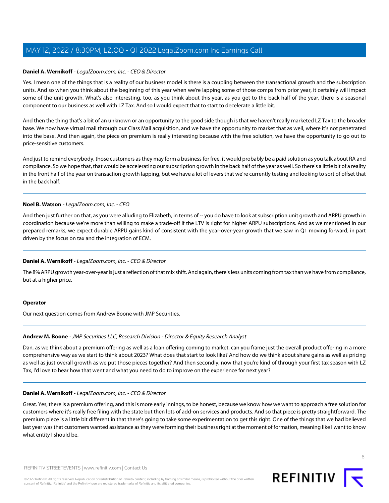### **Daniel A. Wernikoff** - LegalZoom.com, Inc. - CEO & Director

Yes. I mean one of the things that is a reality of our business model is there is a coupling between the transactional growth and the subscription units. And so when you think about the beginning of this year when we're lapping some of those comps from prior year, it certainly will impact some of the unit growth. What's also interesting, too, as you think about this year, as you get to the back half of the year, there is a seasonal component to our business as well with LZ Tax. And so I would expect that to start to decelerate a little bit.

And then the thing that's a bit of an unknown or an opportunity to the good side though is that we haven't really marketed LZ Tax to the broader base. We now have virtual mail through our Class Mail acquisition, and we have the opportunity to market that as well, where it's not penetrated into the base. And then again, the piece on premium is really interesting because with the free solution, we have the opportunity to go out to price-sensitive customers.

And just to remind everybody, those customers as they may form a business for free, it would probably be a paid solution as you talk about RA and compliance. So we hope that, that would be accelerating our subscription growth in the back half of the year as well. So there's a little bit of a reality in the front half of the year on transaction growth lapping, but we have a lot of levers that we're currently testing and looking to sort of offset that in the back half.

### **Noel B. Watson** - LegalZoom.com, Inc. - CFO

And then just further on that, as you were alluding to Elizabeth, in terms of -- you do have to look at subscription unit growth and ARPU growth in coordination because we're more than willing to make a trade-off if the LTV is right for higher ARPU subscriptions. And as we mentioned in our prepared remarks, we expect durable ARPU gains kind of consistent with the year-over-year growth that we saw in Q1 moving forward, in part driven by the focus on tax and the integration of ECM.

### **Daniel A. Wernikoff** - LegalZoom.com, Inc. - CEO & Director

The 8% ARPU growth year-over-year is just a reflection of that mix shift. And again, there's less units coming from tax than we have from compliance, but at a higher price.

### <span id="page-7-0"></span>**Operator**

Our next question comes from Andrew Boone with JMP Securities.

### **Andrew M. Boone** - JMP Securities LLC, Research Division - Director & Equity Research Analyst

Dan, as we think about a premium offering as well as a loan offering coming to market, can you frame just the overall product offering in a more comprehensive way as we start to think about 2023? What does that start to look like? And how do we think about share gains as well as pricing as well as just overall growth as we put those pieces together? And then secondly, now that you're kind of through your first tax season with LZ Tax, I'd love to hear how that went and what you need to do to improve on the experience for next year?

### **Daniel A. Wernikoff** - LegalZoom.com, Inc. - CEO & Director

Great. Yes, there is a premium offering, and this is more early innings, to be honest, because we know how we want to approach a free solution for customers where it's really free filing with the state but then lots of add-on services and products. And so that piece is pretty straightforward. The premium piece is a little bit different in that there's going to take some experimentation to get this right. One of the things that we had believed last year was that customers wanted assistance as they were forming their business right at the moment of formation, meaning like I want to know what entity I should be.

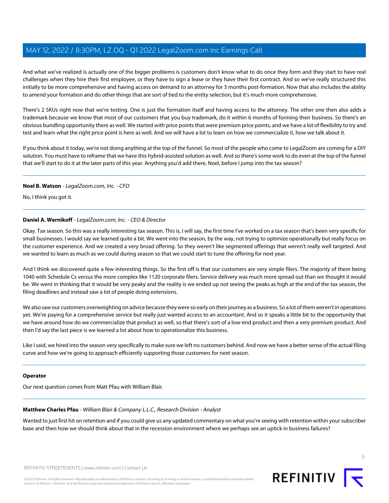And what we've realized is actually one of the bigger problems is customers don't know what to do once they form and they start to have real challenges when they hire their first employee, or they have to sign a lease or they have their first contract. And so we've really structured this initially to be more comprehensive and having access on demand to an attorney for 3 months post-formation. Now that also includes the ability to amend your formation and do other things that are sort of tied to the entity selection, but it's much more comprehensive.

There's 2 SKUs right now that we're testing. One is just the formation itself and having access to the attorney. The other one then also adds a trademark because we know that most of our customers that you buy trademark, do it within 6 months of forming their business. So there's an obvious bundling opportunity there as well. We started with price points that were premium price points, and we have a lot of flexibility to try and test and learn what the right price point is here as well. And we will have a lot to learn on how we commercialize it, how we talk about it.

If you think about it today, we're not doing anything at the top of the funnel. So most of the people who come to LegalZoom are coming for a DIY solution. You must have to reframe that we have this hybrid-assisted solution as well. And so there's some work to do even at the top of the funnel that we'll start to do it at the later parts of this year. Anything you'd add there, Noel, before I jump into the tax season?

### **Noel B. Watson** - LegalZoom.com, Inc. - CFO

No, I think you got it.

### **Daniel A. Wernikoff** - LegalZoom.com, Inc. - CEO & Director

Okay. Tax season. So this was a really interesting tax season. This is, I will say, the first time I've worked on a tax season that's been very specific for small businesses. I would say we learned quite a bit. We went into the season, by the way, not trying to optimize operationally but really focus on the customer experience. And we created a very broad offering. So they weren't like segmented offerings that weren't really well targeted. And we wanted to learn as much as we could during season so that we could start to tune the offering for next year.

And I think we discovered quite a few interesting things. So the first off is that our customers are very simple filers. The majority of them being 1040 with Schedule Cs versus the more complex like 1120 corporate filers. Service delivery was much more spread out than we thought it would be. We went in thinking that it would be very peaky and the reality is we ended up not seeing the peaks as high at the end of the tax season, the filing deadlines and instead saw a lot of people doing extensions.

We also saw our customers overweighting on advice because they were so early on their journey as a business. So a lot of them weren't in operations yet. We're paying for a comprehensive service but really just wanted access to an accountant. And so it speaks a little bit to the opportunity that we have around how do we commercialize that product as well, so that there's sort of a low-end product and then a very premium product. And then I'd say the last piece is we learned a lot about how to operationalize this business.

Like I said, we hired into the season very specifically to make sure we left no customers behind. And now we have a better sense of the actual filing curve and how we're going to approach efficiently supporting those customers for next season.

### <span id="page-8-0"></span>**Operator**

Our next question comes from Matt Pfau with William Blair.

### **Matthew Charles Pfau** - William Blair & Company L.L.C., Research Division - Analyst

Wanted to just first hit on retention and if you could give us any updated commentary on what you're seeing with retention within your subscriber base and then how we should think about that in the recession environment where we perhaps see an uptick in business failures?

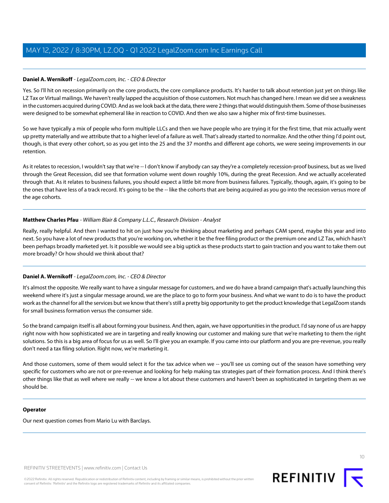### **Daniel A. Wernikoff** - LegalZoom.com, Inc. - CEO & Director

Yes. So I'll hit on recession primarily on the core products, the core compliance products. It's harder to talk about retention just yet on things like LZ Tax or Virtual mailings. We haven't really lapped the acquisition of those customers. Not much has changed here. I mean we did see a weakness in the customers acquired during COVID. And as we look back at the data, there were 2 things that would distinguish them. Some of those businesses were designed to be somewhat ephemeral like in reaction to COVID. And then we also saw a higher mix of first-time businesses.

So we have typically a mix of people who form multiple LLCs and then we have people who are trying it for the first time, that mix actually went up pretty materially and we attribute that to a higher level of a failure as well. That's already started to normalize. And the other thing I'd point out, though, is that every other cohort, so as you get into the 25 and the 37 months and different age cohorts, we were seeing improvements in our retention.

As it relates to recession, I wouldn't say that we're -- I don't know if anybody can say they're a completely recession-proof business, but as we lived through the Great Recession, did see that formation volume went down roughly 10%, during the great Recession. And we actually accelerated through that. As it relates to business failures, you should expect a little bit more from business failures. Typically, though, again, it's going to be the ones that have less of a track record. It's going to be the -- like the cohorts that are being acquired as you go into the recession versus more of the age cohorts.

### **Matthew Charles Pfau** - William Blair & Company L.L.C., Research Division - Analyst

Really, really helpful. And then I wanted to hit on just how you're thinking about marketing and perhaps CAM spend, maybe this year and into next. So you have a lot of new products that you're working on, whether it be the free filing product or the premium one and LZ Tax, which hasn't been perhaps broadly marketed yet. Is it possible we would see a big uptick as these products start to gain traction and you want to take them out more broadly? Or how should we think about that?

### **Daniel A. Wernikoff** - LegalZoom.com, Inc. - CEO & Director

It's almost the opposite. We really want to have a singular message for customers, and we do have a brand campaign that's actually launching this weekend where it's just a singular message around, we are the place to go to form your business. And what we want to do is to have the product work as the channel for all the services but we know that there's still a pretty big opportunity to get the product knowledge that LegalZoom stands for small business formation versus the consumer side.

So the brand campaign itself is all about forming your business. And then, again, we have opportunities in the product. I'd say none of us are happy right now with how sophisticated we are in targeting and really knowing our customer and making sure that we're marketing to them the right solutions. So this is a big area of focus for us as well. So I'll give you an example. If you came into our platform and you are pre-revenue, you really don't need a tax filing solution. Right now, we're marketing it.

And those customers, some of them would select it for the tax advice when we -- you'll see us coming out of the season have something very specific for customers who are not or pre-revenue and looking for help making tax strategies part of their formation process. And I think there's other things like that as well where we really -- we know a lot about these customers and haven't been as sophisticated in targeting them as we should be.

### **Operator**

Our next question comes from Mario Lu with Barclays.

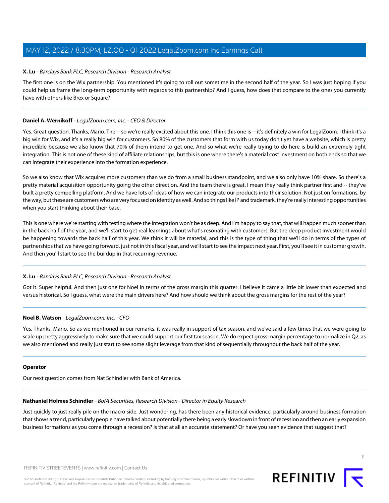### <span id="page-10-1"></span>**X. Lu** - Barclays Bank PLC, Research Division - Research Analyst

The first one is on the Wix partnership. You mentioned it's going to roll out sometime in the second half of the year. So I was just hoping if you could help us frame the long-term opportunity with regards to this partnership? And I guess, how does that compare to the ones you currently have with others like Brex or Square?

### **Daniel A. Wernikoff** - LegalZoom.com, Inc. - CEO & Director

Yes. Great question. Thanks, Mario. The -- so we're really excited about this one. I think this one is -- it's definitely a win for LegalZoom. I think it's a big win for Wix, and it's a really big win for customers. So 80% of the customers that form with us today don't yet have a website, which is pretty incredible because we also know that 70% of them intend to get one. And so what we're really trying to do here is build an extremely tight integration. This is not one of these kind of affiliate relationships, but this is one where there's a material cost investment on both ends so that we can integrate their experience into the formation experience.

So we also know that Wix acquires more customers than we do from a small business standpoint, and we also only have 10% share. So there's a pretty material acquisition opportunity going the other direction. And the team there is great. I mean they really think partner first and -- they've built a pretty compelling platform. And we have lots of ideas of how we can integrate our products into their solution. Not just on formations, by the way, but these are customers who are very focused on identity as well. And so things like IP and trademark, they're really interesting opportunities when you start thinking about their base.

This is one where we're starting with testing where the integration won't be as deep. And I'm happy to say that, that will happen much sooner than in the back half of the year, and we'll start to get real learnings about what's resonating with customers. But the deep product investment would be happening towards the back half of this year. We think it will be material, and this is the type of thing that we'll do in terms of the types of partnerships that we have going forward, just not in this fiscal year, and we'll start to see the impact next year. First, you'll see it in customer growth. And then you'll start to see the buildup in that recurring revenue.

### **X. Lu** - Barclays Bank PLC, Research Division - Research Analyst

Got it. Super helpful. And then just one for Noel in terms of the gross margin this quarter. I believe it came a little bit lower than expected and versus historical. So I guess, what were the main drivers here? And how should we think about the gross margins for the rest of the year?

### **Noel B. Watson** - LegalZoom.com, Inc. - CFO

Yes. Thanks, Mario. So as we mentioned in our remarks, it was really in support of tax season, and we've said a few times that we were going to scale up pretty aggressively to make sure that we could support our first tax season. We do expect gross margin percentage to normalize in Q2, as we also mentioned and really just start to see some slight leverage from that kind of sequentially throughout the back half of the year.

### <span id="page-10-0"></span>**Operator**

Our next question comes from Nat Schindler with Bank of America.

### **Nathaniel Holmes Schindler** - BofA Securities, Research Division - Director in Equity Research

Just quickly to just really pile on the macro side. Just wondering, has there been any historical evidence, particularly around business formation that shows a trend, particularly people have talked about potentially there being a early slowdown in front of recession and then an early expansion business formations as you come through a recession? Is that at all an accurate statement? Or have you seen evidence that suggest that?

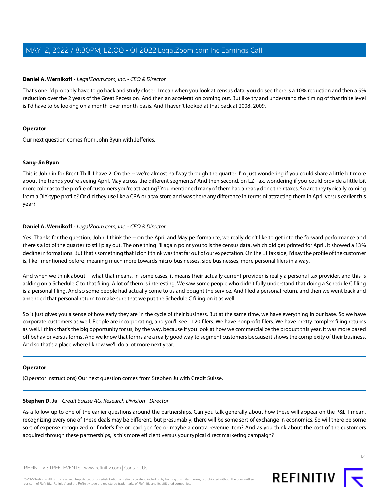### **Daniel A. Wernikoff** - LegalZoom.com, Inc. - CEO & Director

That's one I'd probably have to go back and study closer. I mean when you look at census data, you do see there is a 10% reduction and then a 5% reduction over the 2 years of the Great Recession. And then an acceleration coming out. But like try and understand the timing of that finite level is I'd have to be looking on a month-over-month basis. And I haven't looked at that back at 2008, 2009.

### **Operator**

<span id="page-11-0"></span>Our next question comes from John Byun with Jefferies.

### **Sang-Jin Byun**

This is John in for Brent Thill. I have 2. On the -- we're almost halfway through the quarter. I'm just wondering if you could share a little bit more about the trends you're seeing April, May across the different segments? And then second, on LZ Tax, wondering if you could provide a little bit more color as to the profile of customers you're attracting? You mentioned many of them had already done their taxes. So are they typically coming from a DIY-type profile? Or did they use like a CPA or a tax store and was there any difference in terms of attracting them in April versus earlier this year?

### **Daniel A. Wernikoff** - LegalZoom.com, Inc. - CEO & Director

Yes. Thanks for the question, John. I think the -- on the April and May performance, we really don't like to get into the forward performance and there's a lot of the quarter to still play out. The one thing I'll again point you to is the census data, which did get printed for April, it showed a 13% decline in formations. But that's something that I don't think was that far out of our expectation. On the LT tax side, I'd say the profile of the customer is, like I mentioned before, meaning much more towards micro-businesses, side businesses, more personal filers in a way.

And when we think about -- what that means, in some cases, it means their actually current provider is really a personal tax provider, and this is adding on a Schedule C to that filing. A lot of them is interesting. We saw some people who didn't fully understand that doing a Schedule C filing is a personal filing. And so some people had actually come to us and bought the service. And filed a personal return, and then we went back and amended that personal return to make sure that we put the Schedule C filing on it as well.

So it just gives you a sense of how early they are in the cycle of their business. But at the same time, we have everything in our base. So we have corporate customers as well. People are incorporating, and you'll see 1120 filers. We have nonprofit filers. We have pretty complex filing returns as well. I think that's the big opportunity for us, by the way, because if you look at how we commercialize the product this year, it was more based off behavior versus forms. And we know that forms are a really good way to segment customers because it shows the complexity of their business. And so that's a place where I know we'll do a lot more next year.

### <span id="page-11-1"></span>**Operator**

(Operator Instructions) Our next question comes from Stephen Ju with Credit Suisse.

### **Stephen D. Ju** - Crédit Suisse AG, Research Division - Director

As a follow-up to one of the earlier questions around the partnerships. Can you talk generally about how these will appear on the P&L, I mean, recognizing every one of these deals may be different, but presumably, there will be some sort of exchange in economics. So will there be some sort of expense recognized or finder's fee or lead gen fee or maybe a contra revenue item? And as you think about the cost of the customers acquired through these partnerships, is this more efficient versus your typical direct marketing campaign?